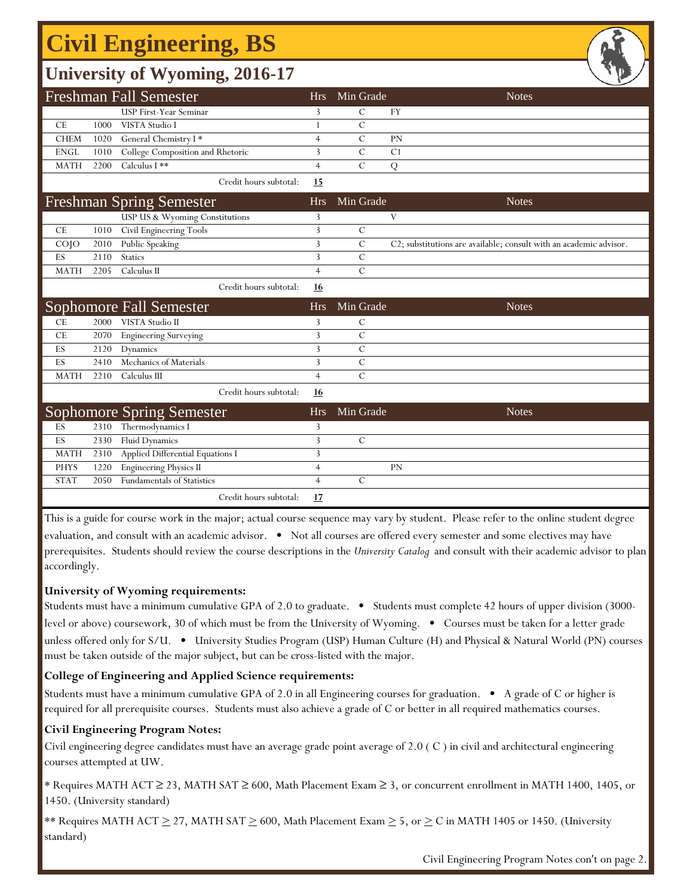## **Civil Engineering, BS**

## **University of Wyoming, 2016-17**

|             |      |                                   |                |                | 一                                                                  |
|-------------|------|-----------------------------------|----------------|----------------|--------------------------------------------------------------------|
|             |      | <b>Freshman Fall Semester</b>     | Hrs            | Min Grade      | <b>Notes</b>                                                       |
|             |      | USP First-Year Seminar            | 3              | С              | FY                                                                 |
| CE          | 1000 | VISTA Studio I                    | $\mathbf{1}$   | C              |                                                                    |
| <b>CHEM</b> | 1020 | General Chemistry I*              | $\overline{4}$ | $\mathcal{C}$  | PN                                                                 |
| <b>ENGL</b> | 1010 | College Composition and Rhetoric  | 3              | $\mathcal{C}$  | C1                                                                 |
| <b>MATH</b> | 2200 | Calculus I **                     | $\overline{4}$ | $\mathcal{C}$  | Q                                                                  |
|             |      | Credit hours subtotal:            | 15             |                |                                                                    |
|             |      | <b>Freshman Spring Semester</b>   | <b>Hrs</b>     | Min Grade      | <b>Notes</b>                                                       |
|             |      | USP US & Wyoming Constitutions    | 3              |                | V                                                                  |
| CE          | 1010 | Civil Engineering Tools           | 3              | $\mathcal{C}$  |                                                                    |
| COJO        | 2010 | Public Speaking                   | 3              | $\mathcal{C}$  | C2; substitutions are available; consult with an academic advisor. |
| ES          | 2110 | <b>Statics</b>                    | 3              | $\mathcal{C}$  |                                                                    |
| <b>MATH</b> | 2205 | Calculus II                       | $\overline{4}$ | $\overline{C}$ |                                                                    |
|             |      | Credit hours subtotal:            | 16             |                |                                                                    |
|             |      |                                   |                |                |                                                                    |
|             |      | <b>Sophomore Fall Semester</b>    | <b>Hrs</b>     | Min Grade      | <b>Notes</b>                                                       |
| CE          | 2000 | VISTA Studio II                   | 3              | $\mathcal{C}$  |                                                                    |
| CE          | 2070 | <b>Engineering Surveying</b>      | 3              | $\mathcal{C}$  |                                                                    |
| ES          | 2120 | Dynamics                          | 3              | $\mathcal{C}$  |                                                                    |
| ES          | 2410 | Mechanics of Materials            | 3              | $\overline{C}$ |                                                                    |
| <b>MATH</b> | 2210 | Calculus III                      | $\overline{4}$ | $\mathcal{C}$  |                                                                    |
|             |      | Credit hours subtotal:            | 16             |                |                                                                    |
|             |      | <b>Sophomore Spring Semester</b>  | <b>Hrs</b>     | Min Grade      | <b>Notes</b>                                                       |
| ES          | 2310 | Thermodynamics I                  | 3              |                |                                                                    |
| ES          | 2330 | Fluid Dynamics                    | 3              | $\mathcal{C}$  |                                                                    |
| <b>MATH</b> | 2310 | Applied Differential Equations I  | 3              |                |                                                                    |
| <b>PHYS</b> | 1220 | <b>Engineering Physics II</b>     | $\overline{4}$ |                | PN                                                                 |
| <b>STAT</b> | 2050 | <b>Fundamentals of Statistics</b> | $\overline{4}$ | $\mathcal{C}$  |                                                                    |

This is a guide for course work in the major; actual course sequence may vary by student. Please refer to the online student degree evaluation, and consult with an academic advisor. • Not all courses are offered every semester and some electives may have prerequisites. Students should review the course descriptions in the *University Catalog* and consult with their academic advisor to plan accordingly.

#### **University of Wyoming requirements:**

Students must have a minimum cumulative GPA of 2.0 to graduate. • Students must complete 42 hours of upper division (3000 level or above) coursework, 30 of which must be from the University of Wyoming. • Courses must be taken for a letter grade unless offered only for S/U. • University Studies Program (USP) Human Culture (H) and Physical & Natural World (PN) courses must be taken outside of the major subject, but can be cross-listed with the major.

### **College of Engineering and Applied Science requirements:**

Students must have a minimum cumulative GPA of 2.0 in all Engineering courses for graduation. • A grade of C or higher is required for all prerequisite courses. Students must also achieve a grade of C or better in all required mathematics courses.

#### **Civil Engineering Program Notes:**

Civil engineering degree candidates must have an average grade point average of 2.0 ( C ) in civil and architectural engineering courses attempted at UW.

\* Requires MATH ACT ≥ 23, MATH SAT ≥ 600, Math Placement Exam ≥ 3, or concurrent enrollment in MATH 1400, 1405, or 1450. (University standard)

\*\* Requires MATH ACT  $\geq$  27, MATH SAT  $\geq$  600, Math Placement Exam  $\geq$  5, or  $\geq$  C in MATH 1405 or 1450. (University standard)